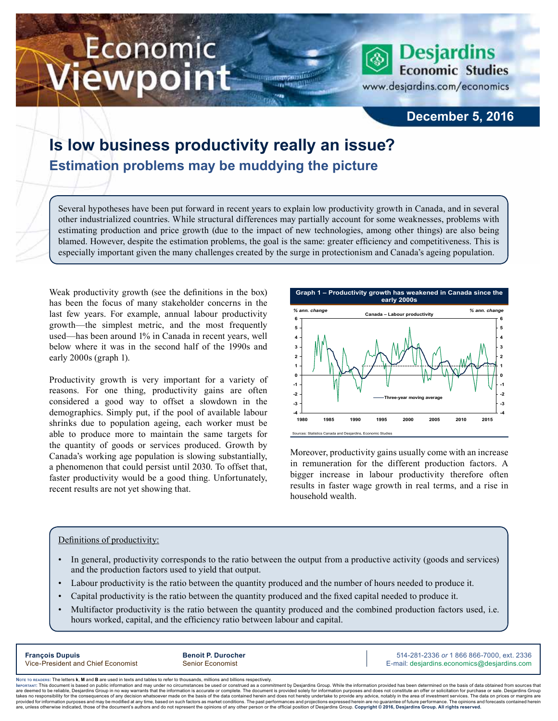# Economic iewpoint



### **December 5, 2016**

## **Is low business productivity really an issue? Estimation problems may be muddying the picture**

Several hypotheses have been put forward in recent years to explain low productivity growth in Canada, and in several other industrialized countries. While structural differences may partially account for some weaknesses, problems with estimating production and price growth (due to the impact of new technologies, among other things) are also being blamed. However, despite the estimation problems, the goal is the same: greater efficiency and competitiveness. This is especially important given the many challenges created by the surge in protectionism and Canada's ageing population.

m

Weak productivity growth (see the definitions in the box) has been the focus of many stakeholder concerns in the last few years. For example, annual labour productivity growth—the simplest metric, and the most frequently used—has been around 1% in Canada in recent years, well below where it was in the second half of the 1990s and early 2000s (graph 1).

Productivity growth is very important for a variety of reasons. For one thing, productivity gains are often considered a good way to offset a slowdown in the demographics. Simply put, if the pool of available labour shrinks due to population ageing, each worker must be able to produce more to maintain the same targets for the quantity of goods or services produced. Growth by Canada's working age population is slowing substantially, a phenomenon that could persist until 2030. To offset that, faster productivity would be a good thing. Unfortunately, recent results are not yet showing that.



Moreover, productivity gains usually come with an increase in remuneration for the different production factors. A bigger increase in labour productivity therefore often results in faster wage growth in real terms, and a rise in household wealth.

#### Definitions of productivity:

- In general, productivity corresponds to the ratio between the output from a productive activity (goods and services) and the production factors used to yield that output.
- Labour productivity is the ratio between the quantity produced and the number of hours needed to produce it.
- Capital productivity is the ratio between the quantity produced and the fixed capital needed to produce it.
- Multifactor productivity is the ratio between the quantity produced and the combined production factors used, i.e. hours worked, capital, and the efficiency ratio between labour and capital.

**François Dupuis Benoit P. Durocher** 514-281-2336 *or* 1 866 866-7000, ext. 2336 Vice-President and Chief Economist Senior Economist Senior Economist E-mail: desjardins.economics@desjardins.com

Noте то келоекs: The letters **k, M** and **B** are used in texts and tables to refer to thousands, millions and billions respectively.<br>Імроктлит: This document is based on public information and may under no circumstances be are deemed to be reliable. Desiardins Group in no way warrants that the information is accurate or complete. The document is provided solely for information purposes and does not constitute an offer or solicitation for pur takes no responsibility for the consequences of any decision whatsoever made on the basis of the data contained herein and does not hereby undertake to provide any advice, notably in the area of investment services. The da .<br>are, unless otherwise indicated, those of the document's authors and do not represent the opinions of any other person or the official position of Desjardins Group. Copyright @ 2016, Desjardins Group. All rights reserved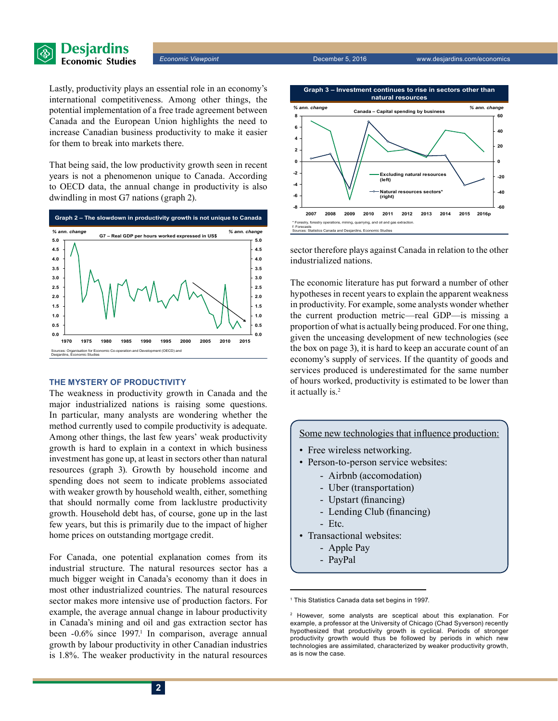

*Economic Viewpoint* December 5, 2016 www.desjardins.com/economics

Lastly, productivity plays an essential role in an economy's international competitiveness. Among other things, the potential implementation of a free trade agreement between Canada and the European Union highlights the need to increase Canadian business productivity to make it easier for them to break into markets there.

That being said, the low productivity growth seen in recent years is not a phenomenon unique to Canada. According to OECD data, the annual change in productivity is also dwindling in most G7 nations (graph 2).



#### **THE MYSTERY OF PRODUCTIVITY**

The weakness in productivity growth in Canada and the major industrialized nations is raising some questions. In particular, many analysts are wondering whether the method currently used to compile productivity is adequate. Among other things, the last few years' weak productivity growth is hard to explain in a context in which business investment has gone up, at least in sectors other than natural resources (graph 3). Growth by household income and spending does not seem to indicate problems associated with weaker growth by household wealth, either, something that should normally come from lacklustre productivity growth. Household debt has, of course, gone up in the last few years, but this is primarily due to the impact of higher home prices on outstanding mortgage credit.

For Canada, one potential explanation comes from its industrial structure. The natural resources sector has a much bigger weight in Canada's economy than it does in most other industrialized countries. The natural resources sector makes more intensive use of production factors. For example, the average annual change in labour productivity in Canada's mining and oil and gas extraction sector has been -0.6% since 1997.<sup>1</sup> In comparison, average annual growth by labour productivity in other Canadian industries is 1.8%. The weaker productivity in the natural resources



sector therefore plays against Canada in relation to the other industrialized nations.

The economic literature has put forward a number of other hypotheses in recent years to explain the apparent weakness in productivity. For example, some analysts wonder whether the current production metric—real GDP—is missing a proportion of what is actually being produced. For one thing, given the unceasing development of new technologies (see the box on page 3), it is hard to keep an accurate count of an economy's supply of services. If the quantity of goods and services produced is underestimated for the same number of hours worked, productivity is estimated to be lower than it actually is.<sup>2</sup>

Some new technologies that influence production:

- Free wireless networking.
- Person-to-person service websites:
	- Airbnb (accomodation)
		- Uber (transportation)
		- Upstart (financing)
	- Lending Club (financing)
	- Etc.
- Transactional websites:
	- Apple Pay
	- PayPal

1 This Statistics Canada data set begins in 1997.

<sup>&</sup>lt;sup>2</sup> However, some analysts are sceptical about this explanation. For example, a professor at the University of Chicago (Chad Syverson) recently hypothesized that productivity growth is cyclical. Periods of stronger productivity growth would thus be followed by periods in which new technologies are assimilated, characterized by weaker productivity growth, as is now the case.